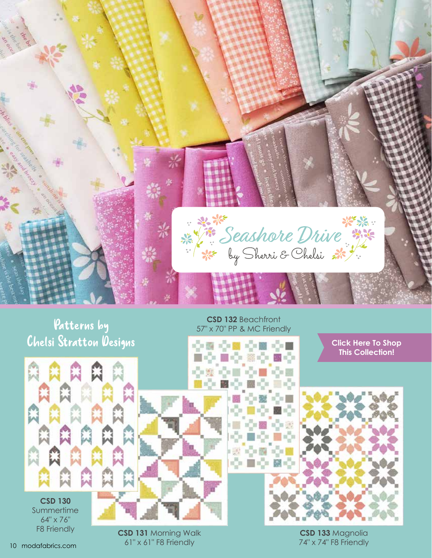

## Patterns by Chelsi Stratton Designs

**CSD 130**

Summertime 64" x 76" F8 Friendly

**CSD 132** Beachfront 57" x 70" PP & MC Friendly

수정 수비 수비 수례

■● ※● ■●

 $1000$ 

ЭH

Ď.

**[Click Here To Shop](https://my.modafabrics.com/shop/s/Sherri_And_Chelsi/Seashore_Drive/) This Collection!**





**CSD 133** Magnolia 74" x 74" F8 Friendly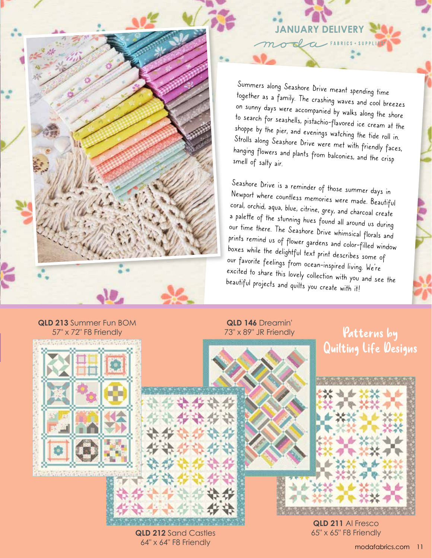

### **JANUARY DELIVERY** da

Summers along Seashore Drive meant spending time together as a family. The crashing waves and cool breezes on sunny days were accompanied by walks along the shore to search for seashells, pistachio-flavored ice cream at the shoppe by the pier, and evenings watching the tide roll in. Strolls along Seashore Drive were met with friendly faces, hanging flowers and plants from balconies, and the crisp smell of salty air.

Seashore Drive is a reminder of those summer days in Newport where countless memories were made. Beautiful coral, orchid, aqua, blue, citrine, grey, and charcoal create a palette of the stunning hues found all around us during our time there. The Seashore Drive whimsical florals and prints remind us of flower gardens and color-filled window boxes while the delightful text print describes some of our favorite feelings from ocean-inspired living. We're excited to share this lovely collection with you and see the beautiful projects and quilts you create with it!

#### **QLD 213** Summer Fun BOM 57" x 72" F8 Friendly

#### **QLD 146** Dreamin' 73" x 89" JR Friendly

### Patterns by Quilting Life Designs



**QLD 211** Al Fresco 65" x 65" F8 Friendly

#### **QLD 212** Sand Castles 64" x 64" F8 Friendly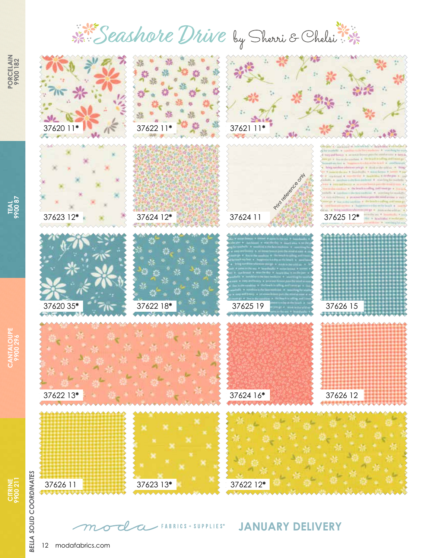# Seashore Drive by Sherri & Chelsi



**CITRINE 9900 211**